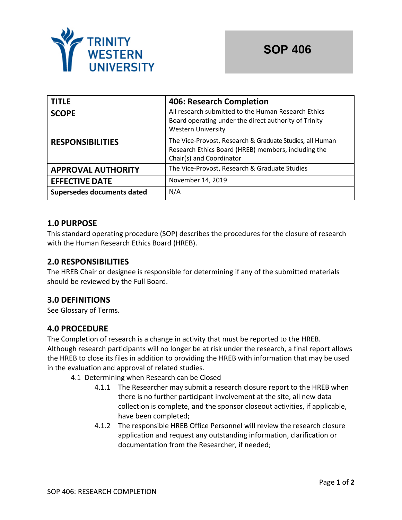

| <b>TITLE</b>               | <b>406: Research Completion</b>                                                                                                             |  |
|----------------------------|---------------------------------------------------------------------------------------------------------------------------------------------|--|
| <b>SCOPE</b>               | All research submitted to the Human Research Ethics<br>Board operating under the direct authority of Trinity<br><b>Western University</b>   |  |
| <b>RESPONSIBILITIES</b>    | The Vice-Provost, Research & Graduate Studies, all Human<br>Research Ethics Board (HREB) members, including the<br>Chair(s) and Coordinator |  |
| <b>APPROVAL AUTHORITY</b>  | The Vice-Provost, Research & Graduate Studies                                                                                               |  |
| <b>EFFECTIVE DATE</b>      | November 14, 2019                                                                                                                           |  |
| Supersedes documents dated | N/A                                                                                                                                         |  |

# **1.0 PURPOSE**

This standard operating procedure (SOP) describes the procedures for the closure of research with the Human Research Ethics Board (HREB).

# **2.0 RESPONSIBILITIES**

The HREB Chair or designee is responsible for determining if any of the submitted materials should be reviewed by the Full Board.

# **3.0 DEFINITIONS**

See Glossary of Terms.

# **4.0 PROCEDURE**

The Completion of research is a change in activity that must be reported to the HREB. Although research participants will no longer be at risk under the research, a final report allows the HREB to close its files in addition to providing the HREB with information that may be used in the evaluation and approval of related studies.

4.1 Determining when Research can be Closed

- 4.1.1 The Researcher may submit a research closure report to the HREB when there is no further participant involvement at the site, all new data collection is complete, and the sponsor closeout activities, if applicable, have been completed;
- 4.1.2 The responsible HREB Office Personnel will review the research closure application and request any outstanding information, clarification or documentation from the Researcher, if needed;